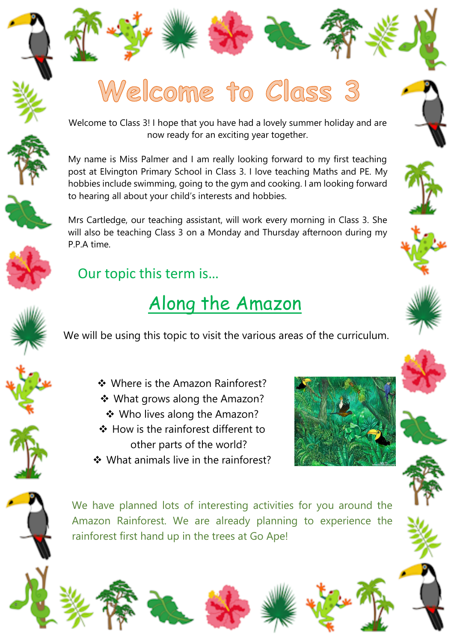



Welcome to Class 3! I hope that you have had a lovely summer holiday and are now ready for an exciting year together.

My name is Miss Palmer and I am really looking forward to my first teaching post at Elvington Primary School in Class 3. I love teaching Maths and PE. My hobbies include swimming, going to the gym and cooking. I am looking forward to hearing all about your child's interests and hobbies.



Mrs Cartledge, our teaching assistant, will work every morning in Class 3. She will also be teaching Class 3 on a Monday and Thursday afternoon during my P.P.A time.



## Our topic this term is…

## Along the Amazon

[We will be using this topic to visit the various areas of the curriculum.](https://www.google.co.uk/url?sa=i&rct=j&q=&esrc=s&source=images&cd=&cad=rja&uact=8&ved=0ahUKEwij4s-Vq6rVAhWSJVAKHf9hDrQQjRwIBw&url=https://www.pinterest.com/pin/325455510544649590/&psig=AFQjCNHWx6LFz6mIc7C4DFfGhNtjd6RCrg&ust=1501274919531436) 

- ❖ Where is the Amazon Rainforest?
	- What grows along the Amazon?
	- Who lives along the Amazon?
- $\div$  How is the rainforest different to other parts of the world?
- ❖ What animals live in the rainforest?





We have planned lots of interesting activities for you around the Amazon Rainforest. We are already planning to experience the rainforest first hand up in the trees at Go Ape!